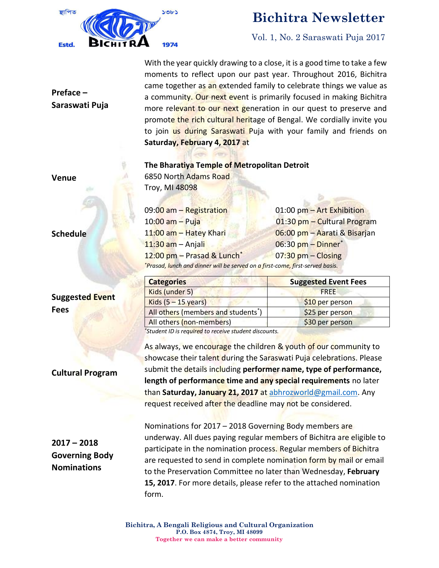

## **Bichitra Newsletter**

Vol. 1, No. 2 Saraswati Puja 2017

With the year quickly drawing to a close, it is a good time to take a few moments to reflect upon our past year. Throughout 2016, Bichitra came together as an extended family to celebrate things we value as a community. Our next event is primarily focused in making Bichitra more relevant to our next generation in our quest to preserve and promote the rich cultural heritage of Bengal. We cordially invite you to join us during Saraswati Puja with your family and friends on **Saturday, February 4, 2017** at

#### **The Bharatiya Temple of Metropolitan Detroit**

6850 North Adams Road Troy, MI 48098

 $11:30$  am – Anjali  $\qquad \qquad 06:30$  pm – Dinner\* 12:00 pm – Prasad & Lunch\* 07:30 pm – Closing

09:00 am – Registration **Details and COM** 01:00 pm – Art Exhibition 10:00 am – Puja 01:30 pm – Cultural Program 11:00 am – Hatey Khari 06:00 pm – Aarati & Bisarjan

*\*Prasad, lunch and dinner will be served on a first-come, first-served basis.*

| <b>Categories</b>                               | <b>Suggested Event Fees</b> |
|-------------------------------------------------|-----------------------------|
| Kids (under 5)                                  | <b>FRFF</b>                 |
| Kids $(5 - 15$ years)                           | \$10 per person             |
| All others (members and students <sup>*</sup> ) | \$25 per person             |
| All others (non-members)                        | \$30 per person             |

*\*Student ID is required to receive student discounts.*

As always, we encourage the children & youth of our community to showcase their talent during the Saraswati Puja celebrations. Please submit the details including **performer name, type of performance, length of performance time and any special requirements** no later than **Saturday, January 21, 2017** at [abhrozworld@gmail.com.](mailto:abhrozworld@gmail.com) Any request received after the deadline may not be considered.

Nominations for 2017 – 2018 Governing Body members are underway. All dues paying regular members of Bichitra are eligible to participate in the nomination process. Regular members of Bichitra are requested to send in complete nomination form by mail or email to the Preservation Committee no later than Wednesday, **February 15, 2017**. For more details, please refer to the attached nomination form.

#### **Venue**

**Preface –**

**Saraswati Puja**

**Schedule**

**Suggested Event Fees**

#### **Cultural Program**

**2017 – 2018 Governing Body Nominations**